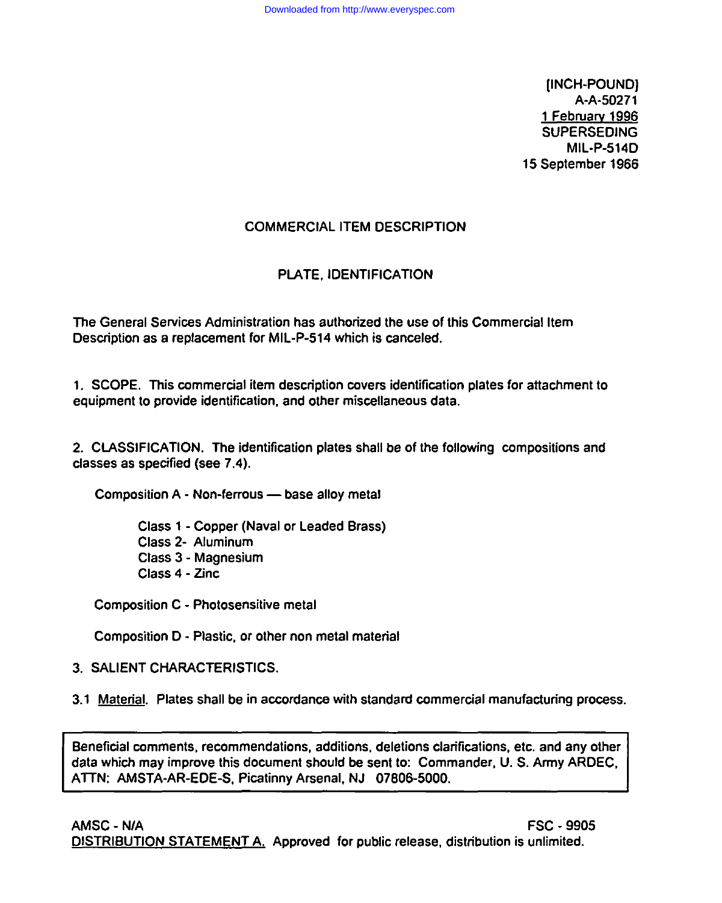**(INCH-POUND)** A-A-50271 **1 February 1996**  $\text{SUPERSEDING}$ **MIL-P-514D** 15 September 1966

# **COMMERCIAL ITEM DESCRIPTION**

# PLATE, IDENTIFICATION

The General Services Administration has authorized the use of this Commercial Item Description as a replacement for MIL-P-514 which is canceled. **1. SCOPE. This commercial item descdption covers identification plates for attachment to**

1. SCOPE. This commercial item description covers identification plates for attachment to equipment to provide identification, and other miscellaneous data. **2. CLASSIFICATION. The identification plates shall be of the following compositions and**

2. CLASSIFICATION. The identification plates shall be of the following compositions and classes as specified (see 7.4).

**Composition A - Non-ferrous – base alloy metal** 

**Class 1 - Copper (Naval or Leaded Brass) Class 2- Aluminum** Class 3 - Magnesium **Class 4 - Zinc** 

**Composition D - Plastic, or other non metal material**

**Composition D - Plastic, or other non metal material** 

**3.1 Material. Plates shall be in accordance with standard commercial manufacturing process.**

3.1 Material. Plates shall be in accordance with standard commercial manufacturing process. **Beneficial mmments, recommendations, additions, deletions clarifications, etc. and any other**

**Alternatives Alternatives**, *recommendations*, additions, deletions clarifications, etc. and any other data which may improve this document should be sent to: Commander, U.S. Army ARDEC, ATTN: AMSTA-AR-EDE-S, Picatinny Arsenal, NJ 07806-5000. **AMSC - NIA FSC -9905**

**data which may improve this document should be sent to Commander, U. S. Army ARDEC,**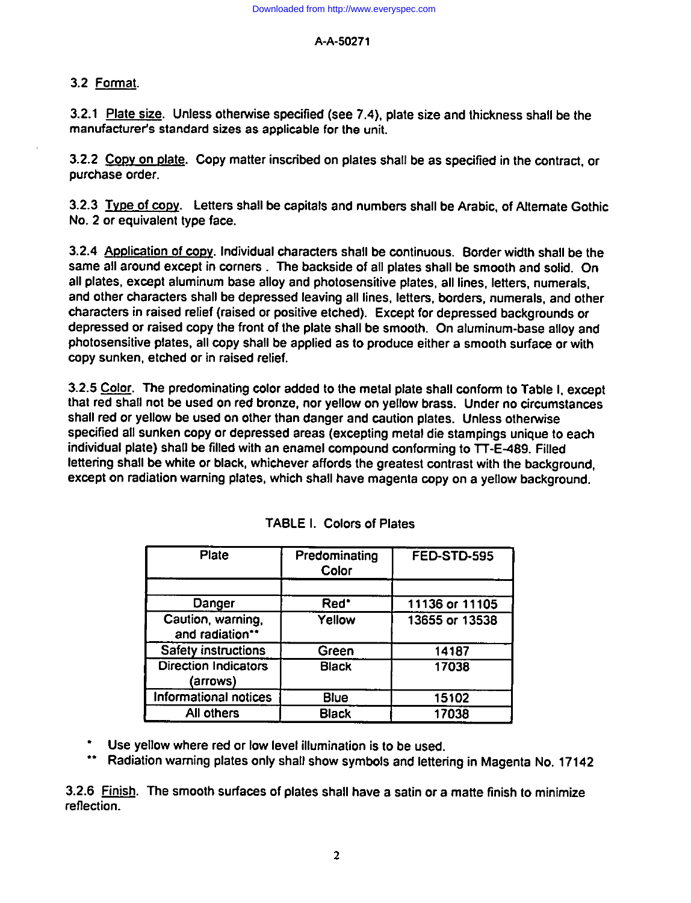#### *A-A-50271*

## 3.2 Format.

**3.2.1 Plate size. Unless otherwise specified (see 7.4), plate size and thickness shall be the manufacturer's standard sizes as applicable for the unit.**

**3.2.2 CoPv on date. Copy matter inscribed on plates shall be as specified in the contract, or purchase order.**

**3.2.3 Tvpe of coDy. Lettera shall be capitals and numbers shall be Arabic, of AKemate Gothic No. 2 or equivalent type face.**

**3.2.4 ADDliCStiOnof cxmy. Individual characters shall be continuous. Border width shall be the same all around except in corners The backside of all plates shall be smooth and solid. On all plates, except aluminum base alloy and photosensitive plates, all lines, letters, numerals, and other characters shall be depressed leaving all lines, letters, bordera, numerals, and other characters in raised retief (raised or positive etched). Except for depressed backgrounds or depressed or raised copy the front of the plate shall be smooth. On aluminum-base alloy and photosensitive plates, all copy shall be applied as to produce either a smooth surface or with mpy sunken, etched or in raised relief.**

**3.2.5 ~. The predominating color added to the metal plate shall conform to Table 1,except that red shall not be used on red bronze, nor yellow on yellow brass. Under no circumstances shall red or yellow be used on other than danger and caution plates. Unless othemvise specified all sunken copy or depressed areas (excepting metal die stampings unique to each individual plate) shall be tilled with an enamel compound conforming to lT-E489. Filled lettering shall be white or black, whichever affords the greatest contrast with the background, except on radiation warning plates, which shall have magenta copy on a yellow background.**

| <b>Plate</b>                            | Predominating<br>Color | <b>FED-STD-595</b> |
|-----------------------------------------|------------------------|--------------------|
|                                         |                        |                    |
| Danger                                  | Red <sup>*</sup>       | 11136 or 11105     |
| Caution, warning,<br>and radiation**    | Yellow                 | 13655 or 13538     |
| <b>Safety instructions</b>              | Green                  | 14187              |
| <b>Direction Indicators</b><br>(arrows) | <b>Black</b>           | 17038              |
| Informational notices                   | Blue                   | 15102              |
| All others                              | <b>Black</b>           | 17038              |

|  |  | <b>TABLE I. Colors of Plates</b> |
|--|--|----------------------------------|
|--|--|----------------------------------|

**" Use yellow where red or low level illumination is to be used.**

**"" Radiation warning plates only shall show symbols and lettering in Magenta No. 17142**

**3.2.6 m. The smooth surfaces of plates shall have a satin** *or* **a matte finish to minimize reflection.**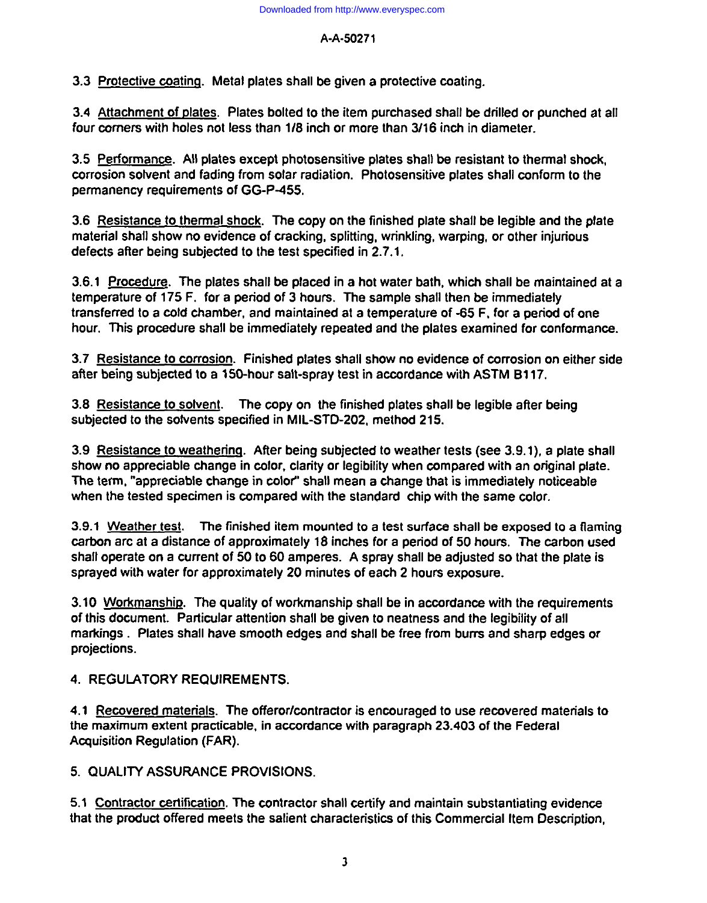## A-A-50271

3.3 Protective coating. Metal plates shall be given a protective coating.

**fourary <b>four c four c holes c holes c c inte inc inc inter or** *included <b>inter interate <b>inter. <i>interate <b>interate interate <i>interate <b>interate interate interate interate i* four corners with holes not less than 1/8 inch or more than 3/16 inch in diameter.

**2.5 Performance.** All plates except photosensitive plates shall be resistant to thermal shock, **corrosion solvent and fading from solar radiation. Photosensitive plates shall conform to the** permanency requirements of GG-P-455.

**3.6** Resistance to thermal shock. The copy on the finished plate shall be legible and the plate **defects hall show no evidence of cracking, splitting, wrinkling, warping, or other injurious** defects after being subjected to the test specified in 2.7.1.

**174 heating 175 h 175 Conducts Conducts of a o** *n* **e o** *n* **a h o** *n n n n n n n n n n n n n n n n n n n n n*  $t$  **temperature** of 175 F. for a period of 3 hours. The sample shall then be immediately **hadle houra houra conformance** *and* **maintained** at a temperature of -65 F, for a period of one hour. This procedure shall be immediately repeated and the plates examined for conformance.

**a.7** Resistance to corrosion. Finished plates shall show no evidence of corrosion on either side after being subjected to a 150-hour salt-spray test in accordance with ASTM B117.

**3.8** Resistance to solvent. The copy on the finished plates shall be legible after being subjected to the solvents specified in MIL-STD-202, method 215.

**3.9 Resistance to weathering. After being subjected to weather tests (see 3.9.1), a plate shall 5how no appreciable change in color, clarity or legibility when compared with an original plate. The term, "appreciable change in color" shall mean a change that is immediately noticeable** when the tested specimen is compared with the standard chip with the same color.

**3.9.1 Weather test.** The finished item mounted to a test surface shall be exposed to a flaming carbon arc at a distance of approximately 18 inches for a period of 50 hours. The carbon used shall operate on a current of 50 to 60 amperes. A spray shall be adjusted so that the plate is sprayed with water for approximately 20 minutes of each 2 hours exposure.

**3.10** Workmanship. The quality of workmanship shall be in accordance with the requirements **n**  $\alpha$  **s h h s s s h s** *n* **s h e** *n* **e** *n* **e** *n* **e** *n* **e** *n* **e** *<b> e <i>n* **e** *<b> e <i>n* **e** *<b> e <i>n* **e** *<b> e <b> e <i><b> e <b> e <i><b>* markings. Plates shall have smooth edges and shall be free from burrs and sharp edges or projections.

**4.1 Recovered materials. The offeror/contractor is encouraged to use recovered materials to** the maximum extent practicable, in accordance with paragraph 23.403 of the Federal Acquisition Regulation (FAR).

**5.1 Contractor certification. The contractor shall certify and maintain substantiating evidence** that the product offered meets the salient characteristics of this Commercial Item Description.